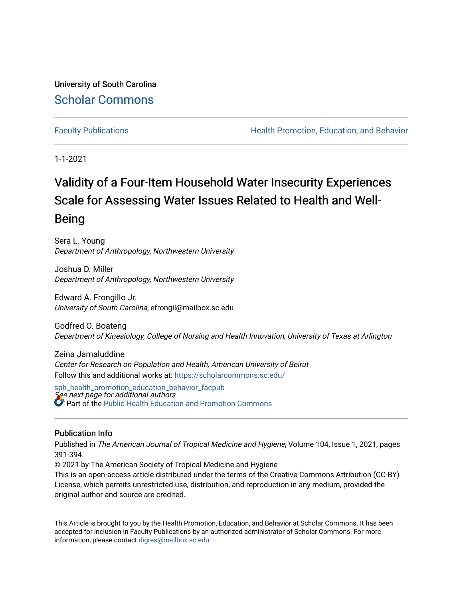University of South Carolina [Scholar Commons](https://scholarcommons.sc.edu/) 

[Faculty Publications](https://scholarcommons.sc.edu/sph_health_promotion_education_behavior_facpub) **Health Promotion, Education, and Behavior Health Promotion, Education, and Behavior** 

1-1-2021

# Validity of a Four-Item Household Water Insecurity Experiences Scale for Assessing Water Issues Related to Health and Well-Being

Sera L. Young Department of Anthropology, Northwestern University

Joshua D. Miller Department of Anthropology, Northwestern University

Edward A. Frongillo Jr. University of South Carolina, efrongil@mailbox.sc.edu

Godfred O. Boateng Department of Kinesiology, College of Nursing and Health Innovation, University of Texas at Arlington

Zeina Jamaluddine Center for Research on Population and Health, American University of Beirut Follow this and additional works at: [https://scholarcommons.sc.edu/](https://scholarcommons.sc.edu/sph_health_promotion_education_behavior_facpub?utm_source=scholarcommons.sc.edu%2Fsph_health_promotion_education_behavior_facpub%2F299&utm_medium=PDF&utm_campaign=PDFCoverPages)

See next page for additional authors [sph\\_health\\_promotion\\_education\\_behavior\\_facpub](https://scholarcommons.sc.edu/sph_health_promotion_education_behavior_facpub?utm_source=scholarcommons.sc.edu%2Fsph_health_promotion_education_behavior_facpub%2F299&utm_medium=PDF&utm_campaign=PDFCoverPages) Part of the [Public Health Education and Promotion Commons](http://network.bepress.com/hgg/discipline/743?utm_source=scholarcommons.sc.edu%2Fsph_health_promotion_education_behavior_facpub%2F299&utm_medium=PDF&utm_campaign=PDFCoverPages) 

### Publication Info

Published in The American Journal of Tropical Medicine and Hygiene, Volume 104, Issue 1, 2021, pages 391-394.

© 2021 by The American Society of Tropical Medicine and Hygiene

This is an open-access article distributed under the terms of the Creative Commons Attribution (CC-BY) License, which permits unrestricted use, distribution, and reproduction in any medium, provided the original author and source are credited.

This Article is brought to you by the Health Promotion, Education, and Behavior at Scholar Commons. It has been accepted for inclusion in Faculty Publications by an authorized administrator of Scholar Commons. For more information, please contact [digres@mailbox.sc.edu.](mailto:digres@mailbox.sc.edu)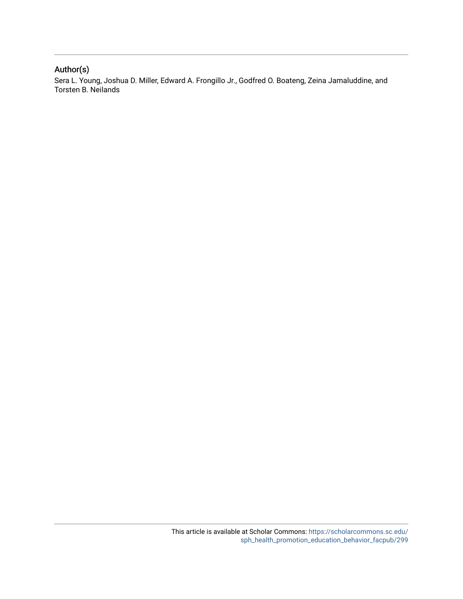## Author(s)

Sera L. Young, Joshua D. Miller, Edward A. Frongillo Jr., Godfred O. Boateng, Zeina Jamaluddine, and Torsten B. Neilands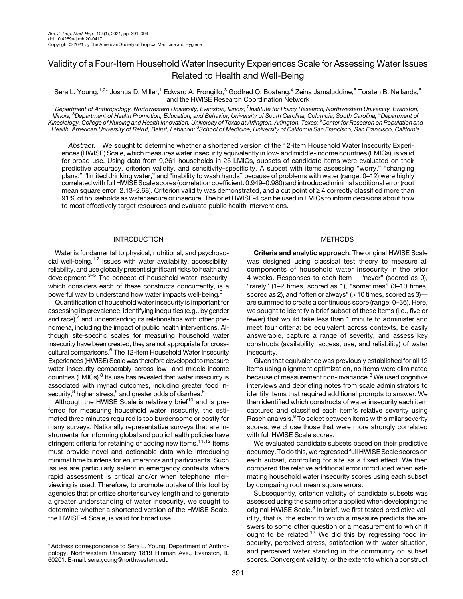## Validity of a Four-Item Household Water Insecurity Experiences Scale for Assessing Water Issues Related to Health and Well-Being

Sera L. Young,<sup>1,2\*</sup> Joshua D. Miller,<sup>1</sup> Edward A. Frongillo,<sup>3</sup> Godfred O. Boateng,<sup>4</sup> Zeina Jamaluddine,<sup>5</sup> Torsten B. Neilands,<sup>6</sup> and the HWISE Research Coordination Network

<sup>1</sup>Department of Anthropology, Northwestern University, Evanston, Illinois; <sup>2</sup>Institute for Policy Research, Northwestern University, Evanston, lllinois; <sup>3</sup>Department of Health Promotion, Education, and Behavior, University of South Carolina, Columbia, South Carolina; <sup>4</sup>Department of Kinesiology, College of Nursing and Health Innovation, University of Texas at Arlington, Arlington, Texas; <sup>5</sup> Center for Research on Population and Health, American University of Beirut, Beirut, Lebanon; <sup>6</sup>School of Medicine, University of California San Francisco, San Francisco, California

Abstract. We sought to determine whether a shortened version of the 12-item Household Water Insecurity Experiences (HWISE) Scale, which measures water insecurity equivalently in low- and middle-income countries (LMICs), is valid for broad use. Using data from 9,261 households in 25 LMICs, subsets of candidate items were evaluated on their predictive accuracy, criterion validity, and sensitivity–specificity. A subset with items assessing "worry," "changing plans," "limited drinking water," and "inability to wash hands" because of problems with water (range: 0–12) were highly correlated with full HWISE Scale scores (correlation coefficient: 0.949–0.980) and introduced minimal additional error (root mean square error: 2.13–2.68). Criterion validity was demonstrated, and a cut point of  $\geq 4$  correctly classified more than 91% of households as water secure or insecure. The brief HWISE-4 can be used in LMICs to inform decisions about how to most effectively target resources and evaluate public health interventions.

#### INTRODUCTION

Water is fundamental to physical, nutritional, and psychosocial well-being. $1,2$  $1,2$  Issues with water availability, accessibility, reliability, and use globally present significant risks to health and development. $3-5$  $3-5$  The concept of household water insecurity, which considers each of these constructs concurrently, is a powerful way to understand how water impacts well-being[.6](#page-5-0)

Quantification of household water insecurity is important for assessing its prevalence, identifying inequities (e.g., by gender and race), $<sup>7</sup>$  $<sup>7</sup>$  $<sup>7</sup>$  and understanding its relationships with other phe-</sup> nomena, including the impact of public health interventions. Although site-specific scales for measuring household water insecurity have been created, they are not appropriate for cross-cultural comparisons.<sup>[6](#page-5-0)</sup> The 12-item Household Water Insecurity Experiences (HWISE) Scale was therefore developed to measure water insecurity comparably across low- and middle-income countries (LMICs).<sup>8</sup> Its use has revealed that water insecurity is associated with myriad outcomes, including greater food insecurity,<sup>8</sup> higher stress,<sup>8</sup> and greater odds of diarrhea.<sup>9</sup>

Although the HWISE Scale is relatively brief<sup>[10](#page-5-0)</sup> and is preferred for measuring household water insecurity, the estimated three minutes required is too burdensome or costly for many surveys. Nationally representative surveys that are instrumental for informing global and public health policies have stringent criteria for retaining or adding new items.<sup>[11,12](#page-5-0)</sup> Items must provide novel and actionable data while introducing minimal time burdens for enumerators and participants. Such issues are particularly salient in emergency contexts where rapid assessment is critical and/or when telephone interviewing is used. Therefore, to promote uptake of this tool by agencies that prioritize shorter survey length and to generate a greater understanding of water insecurity, we sought to determine whether a shortened version of the HWISE Scale, the HWISE-4 Scale, is valid for broad use.

#### METHODS

Criteria and analytic approach. The original HWISE Scale was designed using classical test theory to measure all components of household water insecurity in the prior 4 weeks. Responses to each item— "never" (scored as 0), "rarely" (1–2 times, scored as 1), "sometimes" (3–10 times, scored as 2), and "often or always" (> 10 times, scored as 3)are summed to create a continuous score (range: 0–36). Here, we sought to identify a brief subset of these items (i.e., five or fewer) that would take less than 1 minute to administer and meet four criteria: be equivalent across contexts, be easily answerable, capture a range of severity, and assess key constructs (availability, access, use, and reliability) of water insecurity.

Given that equivalence was previously established for all 12 items using alignment optimization, no items were eliminated because of measurement non-invariance.<sup>[8](#page-5-0)</sup> We used cognitive interviews and debriefing notes from scale administrators to identify items that required additional prompts to answer. We then identified which constructs of water insecurity each item captured and classified each item's relative severity using Rasch analysis.<sup>[8](#page-5-0)</sup> To select between items with similar severity scores, we chose those that were more strongly correlated with full HWISE Scale scores.

We evaluated candidate subsets based on their predictive accuracy. To do this, we regressed full HWISE Scale scores on each subset, controlling for site as a fixed effect. We then compared the relative additional error introduced when estimating household water insecurity scores using each subset by comparing root mean square errors.

Subsequently, criterion validity of candidate subsets was assessed using the same criteria applied when developing the original HWISE Scale.<sup>8</sup> In brief, we first tested predictive validity, that is, the extent to which a measure predicts the answers to some other question or a measurement to which it ought to be related.<sup>[13](#page-5-0)</sup> We did this by regressing food insecurity, perceived stress, satisfaction with water situation, and perceived water standing in the community on subset scores. Convergent validity, or the extent to which a construct

<sup>\*</sup> Address correspondence to Sera L. Young, Department of Anthropology, Northwestern University 1819 Hinman Ave., Evanston, IL 60201. E-mail: [sera.young@northwestern.edu](mailto:sera.young@northwestern.edu)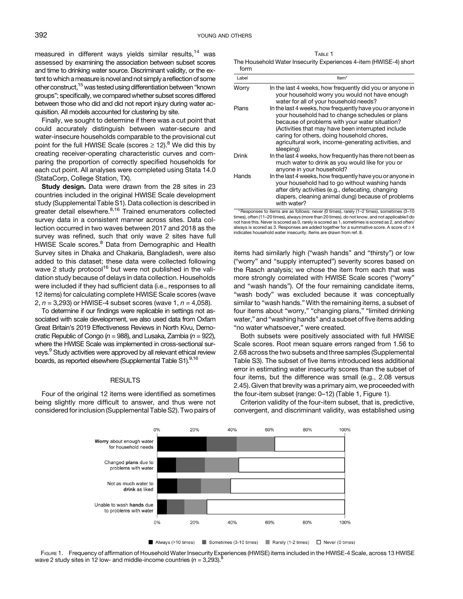measured in different ways yields similar results, $14$  was assessed by examining the association between subset scores and time to drinking water source. Discriminant validity, or the extent to which ameasure is novel and not simply a reflection of some other construct,<sup>15</sup> was tested using differentiation between "known groups"; specifically, we compared whether subset scores differed between those who did and did not report injury during water acquisition. All models accounted for clustering by site.

Finally, we sought to determine if there was a cut point that could accurately distinguish between water-secure and water-insecure households comparable to the provisional cut point for the full HWISE Scale (scores  $\geq 12$ ).<sup>[8](#page-5-0)</sup> We did this by creating receiver-operating characteristic curves and comparing the proportion of correctly specified households for each cut point. All analyses were completed using Stata 14.0 (StataCorp, College Station, TX).

Study design. Data were drawn from the 28 sites in 23 countries included in the original HWISE Scale development study (Supplemental Table S1). Data collection is described in greater detail elsewhere.<sup>[8](#page-5-0),[16](#page-5-0)</sup> Trained enumerators collected survey data in a consistent manner across sites. Data collection occurred in two waves between 2017 and 2018 as the survey was refined, such that only wave 2 sites have full HWISE Scale scores.<sup>[8](#page-5-0)</sup> Data from Demographic and Health Survey sites in Dhaka and Chakaria, Bangladesh, were also added to this dataset; these data were collected following wave 2 study protocol<sup>[16](#page-5-0)</sup> but were not published in the validation study because of delays in data collection. Households were included if they had sufficient data (i.e., responses to all 12 items) for calculating complete HWISE Scale scores (wave 2,  $n = 3,293$  or HWISE-4 subset scores (wave 1,  $n = 4,058$ ).

To determine if our findings were replicable in settings not associated with scale development, we also used data from Oxfam Great Britain's 2019 Effectiveness Reviews in North Kivu, Democratic Republic of Congo ( $n = 988$ ), and Lusaka, Zambia ( $n = 922$ ), where the HWISE Scale was implemented in cross-sectional surveys.<sup>9</sup> Study activities were approved by all relevant ethical review boards, as reported elsewhere (Supplemental Table S1).<sup>9,16</sup>

#### RESULTS

Four of the original 12 items were identified as sometimes being slightly more difficult to answer, and thus were not considered for inclusion (Supplemental Table S2). Two pairs of

TABLE 1 The Household Water Insecurity Experiences 4-item (HWISE-4) short form

| Label | Item*                                                                                                                                                                                                                                                                                                                                   |
|-------|-----------------------------------------------------------------------------------------------------------------------------------------------------------------------------------------------------------------------------------------------------------------------------------------------------------------------------------------|
| Worry | In the last 4 weeks, how frequently did you or anyone in<br>your household worry you would not have enough<br>water for all of your household needs?                                                                                                                                                                                    |
| Plans | In the last 4 weeks, how frequently have you or anyone in<br>your household had to change schedules or plans<br>because of problems with your water situation?<br>(Activities that may have been interrupted include<br>caring for others, doing household chores,<br>agricultural work, income-generating activities, and<br>sleeping) |
| Drink | In the last 4 weeks, how frequently has there not been as<br>much water to drink as you would like for you or<br>anyone in your household?                                                                                                                                                                                              |
| Hands | In the last 4 weeks, how frequently have you or anyone in<br>your household had to go without washing hands<br>after dirty activities (e.g., defecating, changing<br>diapers, cleaning animal dung) because of problems<br>with water?                                                                                                  |

\* Responses to items are as follows: never (0 times), rarely (1–2 times), sometimes (3–10 times), often (11–20 times), always (more than 20 times), do not know, and not applicable/I do not have this. Never is scored as 0, rarely is scored as 1, sometimes is scored as 2, and often/ always is scored as 3. Responses are added together for a summative score. A score of  $\geq 4$ indicates household water insecurity. Items are drawn from ref. [8.](#page-5-0)

items had similarly high ("wash hands" and "thirsty") or low ("worry" and "supply interrupted") severity scores based on the Rasch analysis; we chose the item from each that was more strongly correlated with HWISE Scale scores ("worry" and "wash hands"). Of the four remaining candidate items, "wash body" was excluded because it was conceptually similar to "wash hands." With the remaining items, a subset of four items about "worry," "changing plans," "limited drinking water," and "washing hands" and a subset of five items adding "no water whatsoever," were created.

Both subsets were positively associated with full HWISE Scale scores. Root mean square errors ranged from 1.56 to 2.68 across the two subsets and three samples (Supplemental Table S3). The subset of five items introduced less additional error in estimating water insecurity scores than the subset of four items, but the difference was small (e.g., 2.08 versus 2.45). Given that brevity was a primary aim, we proceeded with the four-item subset (range: 0–12) (Table 1, Figure 1).

Criterion validity of the four-item subset, that is, predictive, convergent, and discriminant validity, was established using



Always (>10 times) Sometimes (3-10 times) Rarely (1-2 times)  $\Box$  Never (0 times)

FIGURE 1. Frequency of affirmation of Household Water Insecurity Experiences (HWISE) items included in the HWISE-4 Scale, across 13 HWISE wave 2 study sites in 12 low- and middle-income countries ( $n = 3,293$ ).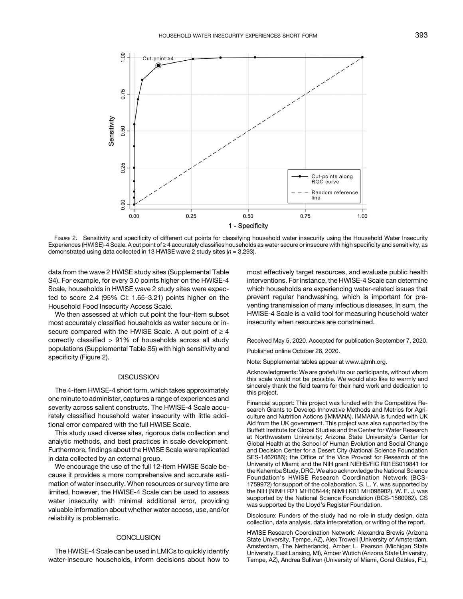

FIGURE 2. Sensitivity and specificity of different cut points for classifying household water insecurity using the Household Water Insecurity Experiences (HWISE)-4 Scale. A cut point of  $\geq$  4 accurately classifies households as water secure or insecure with high specificity and sensitivity, as demonstrated using data collected in 13 HWISE wave 2 study sites  $(n = 3.293)$ .

data from the wave 2 HWISE study sites (Supplemental Table S4). For example, for every 3.0 points higher on the HWISE-4 Scale, households in HWISE wave 2 study sites were expected to score 2.4 (95% CI: 1.65–3.21) points higher on the Household Food Insecurity Access Scale.

We then assessed at which cut point the four-item subset most accurately classified households as water secure or insecure compared with the HWISE Scale. A cut point of  $\geq 4$ correctly classified > 91% of households across all study populations (Supplemental Table S5) with high sensitivity and specificity (Figure 2).

#### **DISCUSSION**

The 4-item HWISE-4 short form, which takes approximately one minute to administer, captures a range of experiences and severity across salient constructs. The HWISE-4 Scale accurately classified household water insecurity with little additional error compared with the full HWISE Scale.

This study used diverse sites, rigorous data collection and analytic methods, and best practices in scale development. Furthermore, findings about the HWISE Scale were replicated in data collected by an external group.

We encourage the use of the full 12-item HWISE Scale because it provides a more comprehensive and accurate estimation of water insecurity. When resources or survey time are limited, however, the HWISE-4 Scale can be used to assess water insecurity with minimal additional error, providing valuable information about whether water access, use, and/or reliability is problematic.

#### **CONCLUSION**

The HWISE-4 Scale can be used in LMICs to quickly identify water-insecure households, inform decisions about how to most effectively target resources, and evaluate public health interventions. For instance, the HWISE-4 Scale can determine which households are experiencing water-related issues that prevent regular handwashing, which is important for preventing transmission of many infectious diseases. In sum, the HWISE-4 Scale is a valid tool for measuring household water insecurity when resources are constrained.

Received May 5, 2020. Accepted for publication September 7, 2020.

Published online October 26, 2020.

Note: Supplemental tables appear at [www.ajtmh.org](http://www.ajtmh.org).

Acknowledgments: We are grateful to our participants, without whom this scale would not be possible. We would also like to warmly and sincerely thank the field teams for their hard work and dedication to this project.

Financial support: This project was funded with the Competitive Research Grants to Develop Innovative Methods and Metrics for Agriculture and Nutrition Actions (IMMANA). IMMANA is funded with UK Aid from the UK government. This project was also supported by the Buffett Institute for Global Studies and the Center for Water Research at Northwestern University; Arizona State University's Center for Global Health at the School of Human Evolution and Social Change and Decision Center for a Desert City (National Science Foundation SES-1462086); the Office of the Vice Provost for Research of the University of Miami; and the NIH grant NIEHS/FIC R01ES019841 for the Kahemba Study, DRC. We also acknowledge the National Science Foundation's HWISE Research Coordination Network (BCS-1759972) for support of the collaboration. S. L. Y. was supported by the NIH (NIMH R21 MH108444; NIMH K01 MH098902). W. E. J. was supported by the National Science Foundation (BCS-1560962). CS was supported by the Lloyd's Register Foundation.

Disclosure: Funders of the study had no role in study design, data collection, data analysis, data interpretation, or writing of the report.

HWISE Research Coordination Network: Alexandra Brewis (Arizona State University, Tempe, AZ), Alex Trowell (University of Amsterdam, Amsterdam, The Netherlands), Amber L. Pearson (Michigan State University, East Lansing, MI), Amber Wutich (Arizona State University, Tempe, AZ), Andrea Sullivan (University of Miami, Coral Gables, FL),